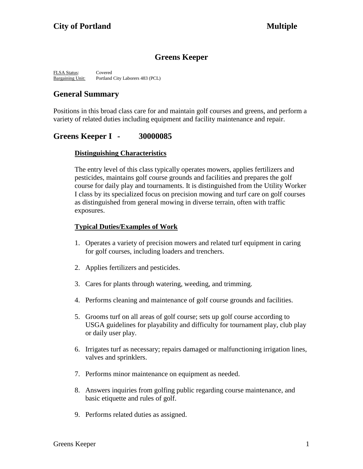# **Greens Keeper**

FLSA Status: Covered Bargaining Unit: Portland City Laborers 483 (PCL)

# **General Summary**

Positions in this broad class care for and maintain golf courses and greens, and perform a variety of related duties including equipment and facility maintenance and repair.

# **Greens Keeper I - 30000085**

### **Distinguishing Characteristics**

The entry level of this class typically operates mowers, applies fertilizers and pesticides, maintains golf course grounds and facilities and prepares the golf course for daily play and tournaments. It is distinguished from the Utility Worker I class by its specialized focus on precision mowing and turf care on golf courses as distinguished from general mowing in diverse terrain, often with traffic exposures.

### **Typical Duties/Examples of Work**

- 1. Operates a variety of precision mowers and related turf equipment in caring for golf courses, including loaders and trenchers.
- 2. Applies fertilizers and pesticides.
- 3. Cares for plants through watering, weeding, and trimming.
- 4. Performs cleaning and maintenance of golf course grounds and facilities.
- 5. Grooms turf on all areas of golf course; sets up golf course according to USGA guidelines for playability and difficulty for tournament play, club play or daily user play.
- 6. Irrigates turf as necessary; repairs damaged or malfunctioning irrigation lines, valves and sprinklers.
- 7. Performs minor maintenance on equipment as needed.
- 8. Answers inquiries from golfing public regarding course maintenance, and basic etiquette and rules of golf.
- 9. Performs related duties as assigned.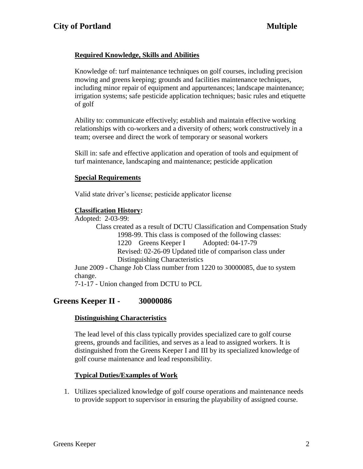## **Required Knowledge, Skills and Abilities**

Knowledge of: turf maintenance techniques on golf courses, including precision mowing and greens keeping; grounds and facilities maintenance techniques, including minor repair of equipment and appurtenances; landscape maintenance; irrigation systems; safe pesticide application techniques; basic rules and etiquette of golf

Ability to: communicate effectively; establish and maintain effective working relationships with co-workers and a diversity of others; work constructively in a team; oversee and direct the work of temporary or seasonal workers

Skill in: safe and effective application and operation of tools and equipment of turf maintenance, landscaping and maintenance; pesticide application

### **Special Requirements**

Valid state driver's license; pesticide applicator license

## **Classification History:**

Adopted: 2-03-99:

Class created as a result of DCTU Classification and Compensation Study 1998-99. This class is composed of the following classes: 1220 Greens Keeper I Adopted: 04-17-79 Revised: 02-26-09 Updated title of comparison class under Distinguishing Characteristics

June 2009 - Change Job Class number from 1220 to 30000085, due to system change.

7-1-17 - Union changed from DCTU to PCL

# **Greens Keeper II - 30000086**

## **Distinguishing Characteristics**

The lead level of this class typically provides specialized care to golf course greens, grounds and facilities, and serves as a lead to assigned workers. It is distinguished from the Greens Keeper I and III by its specialized knowledge of golf course maintenance and lead responsibility.

## **Typical Duties/Examples of Work**

1. Utilizes specialized knowledge of golf course operations and maintenance needs to provide support to supervisor in ensuring the playability of assigned course.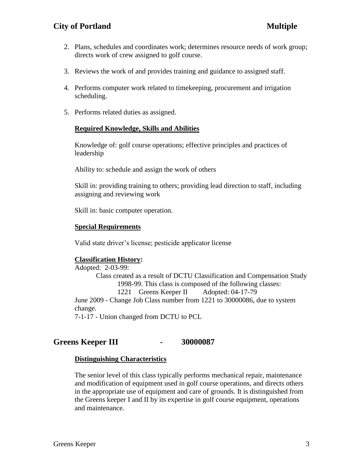## **City** of Portland **Multiple**

- 2. Plans, schedules and coordinates work; determines resource needs of work group; directs work of crew assigned to golf course.
- 3. Reviews the work of and provides training and guidance to assigned staff.
- 4. Performs computer work related to timekeeping, procurement and irrigation scheduling.
- 5. Performs related duties as assigned.

### **Required Knowledge, Skills and Abilities**

Knowledge of: golf course operations; effective principles and practices of leadership

Ability to: schedule and assign the work of others

Skill in: providing training to others; providing lead direction to staff, including assigning and reviewing work

Skill in: basic computer operation.

### **Special Requirements**

Valid state driver's license; pesticide applicator license

### **Classification History:**

Adopted: 2-03-99: Class created as a result of DCTU Classification and Compensation Study 1998-99. This class is composed of the following classes: 1221 Greens Keeper II Adopted: 04-17-79 June 2009 - Change Job Class number from 1221 to 30000086, due to system change.

7-1-17 - Union changed from DCTU to PCL

### **Greens Keeper III - 30000087**

### **Distinguishing Characteristics**

The senior level of this class typically performs mechanical repair, maintenance and modification of equipment used in golf course operations, and directs others in the appropriate use of equipment and care of grounds. It is distinguished from the Greens keeper I and II by its expertise in golf course equipment, operations and maintenance.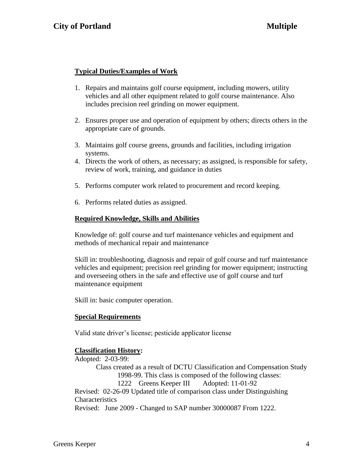### **Typical Duties/Examples of Work**

- 1. Repairs and maintains golf course equipment, including mowers, utility vehicles and all other equipment related to golf course maintenance. Also includes precision reel grinding on mower equipment.
- 2. Ensures proper use and operation of equipment by others; directs others in the appropriate care of grounds.
- 3. Maintains golf course greens, grounds and facilities, including irrigation systems.
- 4. Directs the work of others, as necessary; as assigned, is responsible for safety, review of work, training, and guidance in duties
- 5. Performs computer work related to procurement and record keeping.
- 6. Performs related duties as assigned.

### **Required Knowledge, Skills and Abilities**

Knowledge of: golf course and turf maintenance vehicles and equipment and methods of mechanical repair and maintenance

Skill in: troubleshooting, diagnosis and repair of golf course and turf maintenance vehicles and equipment; precision reel grinding for mower equipment; instructing and overseeing others in the safe and effective use of golf course and turf maintenance equipment

Skill in: basic computer operation.

### **Special Requirements**

Valid state driver's license; pesticide applicator license

### **Classification History:**

Adopted: 2-03-99:

Class created as a result of DCTU Classification and Compensation Study 1998-99. This class is composed of the following classes: 1222 Greens Keeper III Adopted: 11-01-92

Revised: 02-26-09 Updated title of comparison class under Distinguishing **Characteristics** 

Revised: June 2009 - Changed to SAP number 30000087 From 1222.